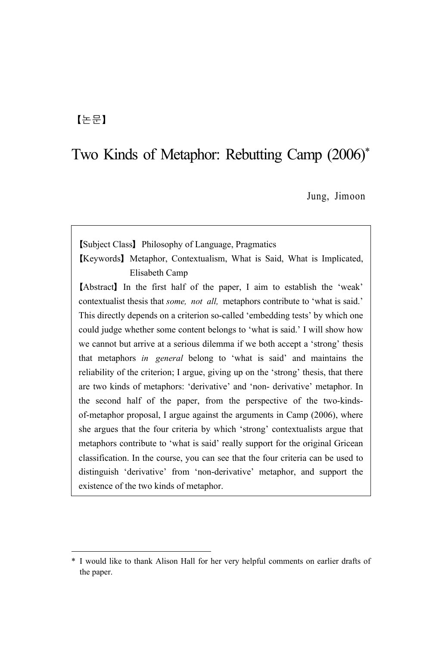## 【논문】

# Two Kinds of Metaphor: Rebutting Camp (2006)<sup>\*</sup>

Jung, Jimoon

【Subject Class】Philosophy of Language, Pragmatics

【Keywords】Metaphor, Contextualism, What is Said, What is Implicated, Elisabeth Camp

【Abstract】In the first half of the paper, I aim to establish the 'weak' contextualist thesis that *some, not all,* metaphors contribute to 'what is said.' This directly depends on a criterion so-called 'embedding tests' by which one could judge whether some content belongs to 'what is said.' I will show how we cannot but arrive at a serious dilemma if we both accept a 'strong' thesis that metaphors *in general* belong to 'what is said' and maintains the reliability of the criterion; I argue, giving up on the 'strong' thesis, that there are two kinds of metaphors: 'derivative' and 'non- derivative' metaphor. In the second half of the paper, from the perspective of the two-kindsof-metaphor proposal, I argue against the arguments in Camp (2006), where she argues that the four criteria by which 'strong' contextualists argue that metaphors contribute to 'what is said' really support for the original Gricean classification. In the course, you can see that the four criteria can be used to distinguish 'derivative' from 'non-derivative' metaphor, and support the existence of the two kinds of metaphor.

<sup>\*</sup> I would like to thank Alison Hall for her very helpful comments on earlier drafts of the paper.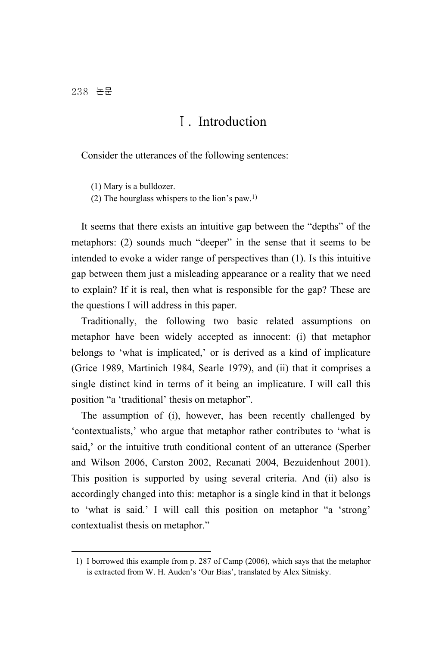# Ⅰ. Introduction

Consider the utterances of the following sentences:

(1) Mary is a bulldozer.

(2) The hourglass whispers to the lion's paw.1)

It seems that there exists an intuitive gap between the "depths" of the metaphors: (2) sounds much "deeper" in the sense that it seems to be intended to evoke a wider range of perspectives than (1). Is this intuitive gap between them just a misleading appearance or a reality that we need to explain? If it is real, then what is responsible for the gap? These are the questions I will address in this paper.

Traditionally, the following two basic related assumptions on metaphor have been widely accepted as innocent: (i) that metaphor belongs to 'what is implicated,' or is derived as a kind of implicature (Grice 1989, Martinich 1984, Searle 1979), and (ii) that it comprises a single distinct kind in terms of it being an implicature. I will call this position "a 'traditional' thesis on metaphor".

The assumption of (i), however, has been recently challenged by 'contextualists,' who argue that metaphor rather contributes to 'what is said,' or the intuitive truth conditional content of an utterance (Sperber and Wilson 2006, Carston 2002, Recanati 2004, Bezuidenhout 2001). This position is supported by using several criteria. And (ii) also is accordingly changed into this: metaphor is a single kind in that it belongs to 'what is said.' I will call this position on metaphor "a 'strong' contextualist thesis on metaphor."

<sup>1)</sup> I borrowed this example from p. 287 of Camp (2006), which says that the metaphor is extracted from W. H. Auden's 'Our Bias', translated by Alex Sitnisky.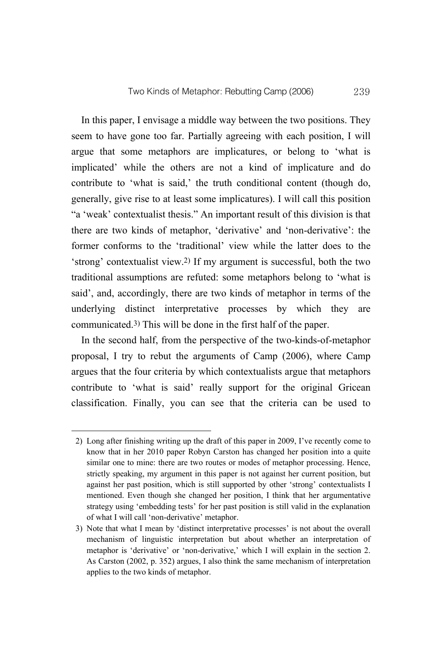In this paper, I envisage a middle way between the two positions. They seem to have gone too far. Partially agreeing with each position, I will argue that some metaphors are implicatures, or belong to 'what is implicated' while the others are not a kind of implicature and do contribute to 'what is said,' the truth conditional content (though do, generally, give rise to at least some implicatures). I will call this position "a 'weak' contextualist thesis." An important result of this division is that there are two kinds of metaphor, 'derivative' and 'non-derivative': the former conforms to the 'traditional' view while the latter does to the 'strong' contextualist view.2) If my argument is successful, both the two traditional assumptions are refuted: some metaphors belong to 'what is said', and, accordingly, there are two kinds of metaphor in terms of the underlying distinct interpretative processes by which they are communicated.3) This will be done in the first half of the paper.

In the second half, from the perspective of the two-kinds-of-metaphor proposal, I try to rebut the arguments of Camp (2006), where Camp argues that the four criteria by which contextualists argue that metaphors contribute to 'what is said' really support for the original Gricean classification. Finally, you can see that the criteria can be used to

<sup>2)</sup> Long after finishing writing up the draft of this paper in 2009, I've recently come to know that in her 2010 paper Robyn Carston has changed her position into a quite similar one to mine: there are two routes or modes of metaphor processing. Hence, strictly speaking, my argument in this paper is not against her current position, but against her past position, which is still supported by other 'strong' contextualists I mentioned. Even though she changed her position, I think that her argumentative strategy using 'embedding tests' for her past position is still valid in the explanation of what I will call 'non-derivative' metaphor.

<sup>3)</sup> Note that what I mean by 'distinct interpretative processes' is not about the overall mechanism of linguistic interpretation but about whether an interpretation of metaphor is 'derivative' or 'non-derivative,' which I will explain in the section 2. As Carston (2002, p. 352) argues, I also think the same mechanism of interpretation applies to the two kinds of metaphor.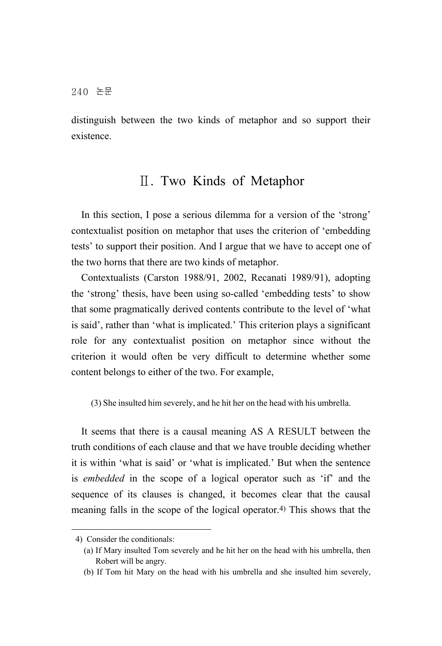distinguish between the two kinds of metaphor and so support their existence.

## Ⅱ. Two Kinds of Metaphor

In this section, I pose a serious dilemma for a version of the 'strong' contextualist position on metaphor that uses the criterion of 'embedding tests' to support their position. And I argue that we have to accept one of the two horns that there are two kinds of metaphor.

Contextualists (Carston 1988/91, 2002, Recanati 1989/91), adopting the 'strong' thesis, have been using so-called 'embedding tests' to show that some pragmatically derived contents contribute to the level of 'what is said', rather than 'what is implicated.' This criterion plays a significant role for any contextualist position on metaphor since without the criterion it would often be very difficult to determine whether some content belongs to either of the two. For example,

(3) She insulted him severely, and he hit her on the head with his umbrella.

It seems that there is a causal meaning AS A RESULT between the truth conditions of each clause and that we have trouble deciding whether it is within 'what is said' or 'what is implicated.' But when the sentence is *embedded* in the scope of a logical operator such as 'if' and the sequence of its clauses is changed, it becomes clear that the causal meaning falls in the scope of the logical operator.4) This shows that the

<sup>4)</sup> Consider the conditionals:

 <sup>(</sup>a) If Mary insulted Tom severely and he hit her on the head with his umbrella, then Robert will be angry.

 <sup>(</sup>b) If Tom hit Mary on the head with his umbrella and she insulted him severely,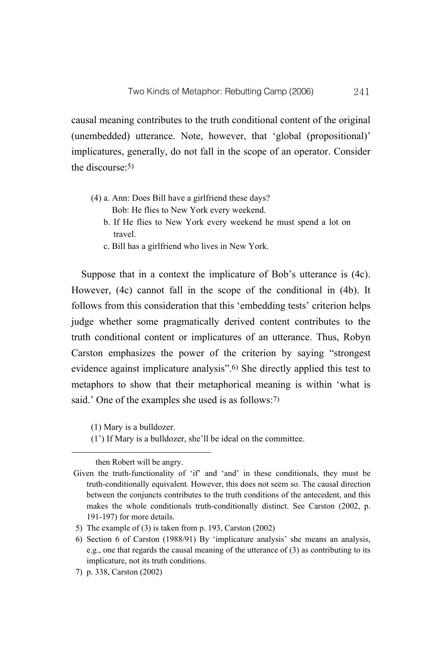causal meaning contributes to the truth conditional content of the original (unembedded) utterance. Note, however, that 'global (propositional)' implicatures, generally, do not fall in the scope of an operator. Consider the discourse:5)

- (4) a. Ann: Does Bill have a girlfriend these days? Bob: He flies to New York every weekend.
	- b. If He flies to New York every weekend he must spend a lot on travel.
	- c. Bill has a girlfriend who lives in New York.

Suppose that in a context the implicature of Bob's utterance is (4c). However, (4c) cannot fall in the scope of the conditional in (4b). It follows from this consideration that this 'embedding tests' criterion helps judge whether some pragmatically derived content contributes to the truth conditional content or implicatures of an utterance. Thus, Robyn Carston emphasizes the power of the criterion by saying "strongest evidence against implicature analysis".<sup>6</sup>) She directly applied this test to metaphors to show that their metaphorical meaning is within 'what is said.' One of the examples she used is as follows:7)

(1) Mary is a bulldozer.

(1') If Mary is a bulldozer, she'll be ideal on the committee.

then Robert will be angry.

Given the truth-functionality of 'if' and 'and' in these conditionals, they must be truth-conditionally equivalent. However, this does not seem so. The causal direction between the conjuncts contributes to the truth conditions of the antecedent, and this makes the whole conditionals truth-conditionally distinct. See Carston (2002, p. 191-197) for more details.

<sup>5)</sup> The example of (3) is taken from p. 193, Carston (2002)

<sup>6)</sup> Section 6 of Carston (1988/91) By 'implicature analysis' she means an analysis, e.g., one that regards the causal meaning of the utterance of (3) as contributing to its implicature, not its truth conditions.

<sup>7)</sup> p. 338, Carston (2002)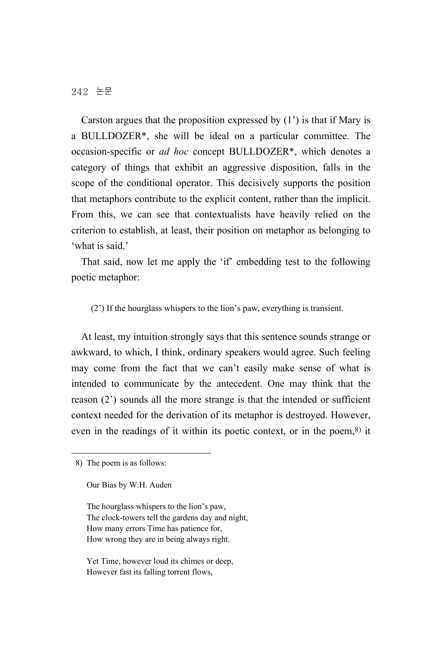Carston argues that the proposition expressed by  $(1')$  is that if Mary is a BULLDOZER\*, she will be ideal on a particular committee. The occasion-specific or *ad hoc* concept BULLDOZER\*, which denotes a category of things that exhibit an aggressive disposition, falls in the scope of the conditional operator. This decisively supports the position that metaphors contribute to the explicit content, rather than the implicit. From this, we can see that contextualists have heavily relied on the criterion to establish, at least, their position on metaphor as belonging to 'what is said.'

That said, now let me apply the 'if' embedding test to the following poetic metaphor:

(2') If the hourglass whispers to the lion's paw, everything is transient.

At least, my intuition strongly says that this sentence sounds strange or awkward, to which, I think, ordinary speakers would agree. Such feeling may come from the fact that we can't easily make sense of what is intended to communicate by the antecedent. One may think that the reason (2') sounds all the more strange is that the intended or sufficient context needed for the derivation of its metaphor is destroyed. However, even in the readings of it within its poetic context, or in the poem,8) it

The hourglass whispers to the lion's paw, The clock-towers tell the gardens day and night, How many errors Time has patience for, How wrong they are in being always right.

Yet Time, however loud its chimes or deep, However fast its falling torrent flows,

<sup>8)</sup> The poem is as follows:

Our Bias by W.H. Auden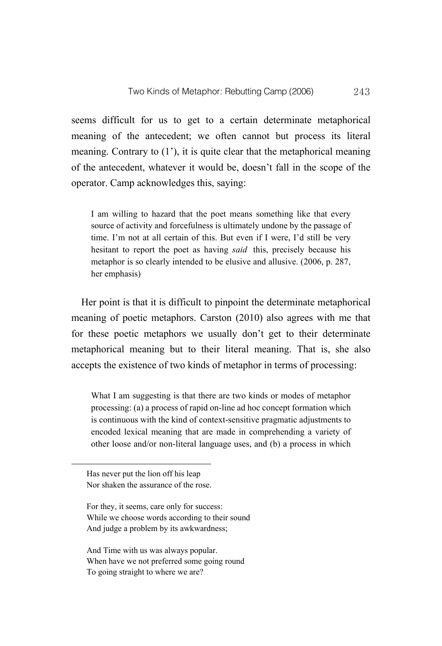seems difficult for us to get to a certain determinate metaphorical meaning of the antecedent; we often cannot but process its literal meaning. Contrary to (1'), it is quite clear that the metaphorical meaning of the antecedent, whatever it would be, doesn't fall in the scope of the operator. Camp acknowledges this, saying:

I am willing to hazard that the poet means something like that every source of activity and forcefulness is ultimately undone by the passage of time. I'm not at all certain of this. But even if I were, I'd still be very hesitant to report the poet as having *said* this, precisely because his metaphor is so clearly intended to be elusive and allusive. (2006, p. 287, her emphasis)

Her point is that it is difficult to pinpoint the determinate metaphorical meaning of poetic metaphors. Carston (2010) also agrees with me that for these poetic metaphors we usually don't get to their determinate metaphorical meaning but to their literal meaning. That is, she also accepts the existence of two kinds of metaphor in terms of processing:

What I am suggesting is that there are two kinds or modes of metaphor processing: (a) a process of rapid on-line ad hoc concept formation which is continuous with the kind of context-sensitive pragmatic adjustments to encoded lexical meaning that are made in comprehending a variety of other loose and/or non-literal language uses, and (b) a process in which

Has never put the lion off his leap Nor shaken the assurance of the rose.

For they, it seems, care only for success: While we choose words according to their sound And judge a problem by its awkwardness;

And Time with us was always popular. When have we not preferred some going round To going straight to where we are?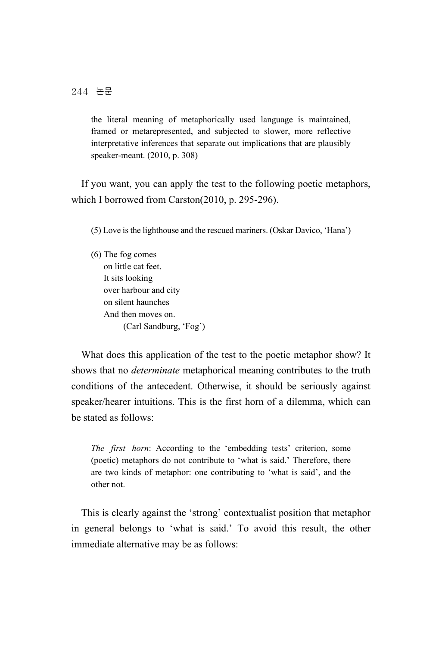the literal meaning of metaphorically used language is maintained, framed or metarepresented, and subjected to slower, more reflective interpretative inferences that separate out implications that are plausibly speaker-meant. (2010, p. 308)

If you want, you can apply the test to the following poetic metaphors, which I borrowed from Carston(2010, p. 295-296).

(5) Love is the lighthouse and the rescued mariners. (Oskar Davico, 'Hana')

(6) The fog comes on little cat feet. It sits looking over harbour and city on silent haunches And then moves on. (Carl Sandburg, 'Fog')

What does this application of the test to the poetic metaphor show? It shows that no *determinate* metaphorical meaning contributes to the truth conditions of the antecedent. Otherwise, it should be seriously against speaker/hearer intuitions. This is the first horn of a dilemma, which can be stated as follows:

*The first horn*: According to the 'embedding tests' criterion, some (poetic) metaphors do not contribute to 'what is said.' Therefore, there are two kinds of metaphor: one contributing to 'what is said', and the other not.

This is clearly against the 'strong' contextualist position that metaphor in general belongs to 'what is said.' To avoid this result, the other immediate alternative may be as follows: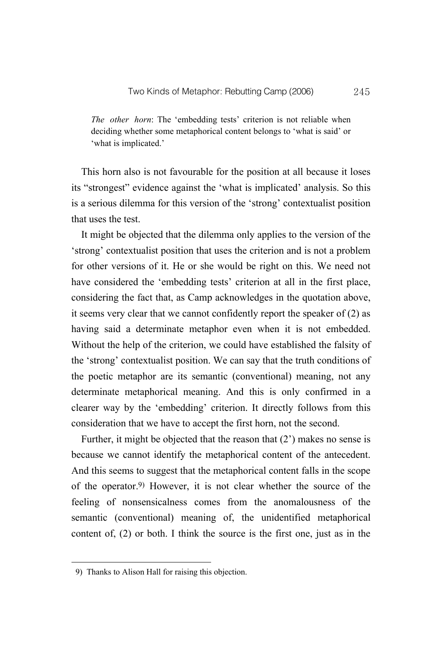*The other horn*: The 'embedding tests' criterion is not reliable when deciding whether some metaphorical content belongs to 'what is said' or 'what is implicated.'

This horn also is not favourable for the position at all because it loses its "strongest" evidence against the 'what is implicated' analysis. So this is a serious dilemma for this version of the 'strong' contextualist position that uses the test.

It might be objected that the dilemma only applies to the version of the 'strong' contextualist position that uses the criterion and is not a problem for other versions of it. He or she would be right on this. We need not have considered the 'embedding tests' criterion at all in the first place, considering the fact that, as Camp acknowledges in the quotation above, it seems very clear that we cannot confidently report the speaker of (2) as having said a determinate metaphor even when it is not embedded. Without the help of the criterion, we could have established the falsity of the 'strong' contextualist position. We can say that the truth conditions of the poetic metaphor are its semantic (conventional) meaning, not any determinate metaphorical meaning. And this is only confirmed in a clearer way by the 'embedding' criterion. It directly follows from this consideration that we have to accept the first horn, not the second.

Further, it might be objected that the reason that (2') makes no sense is because we cannot identify the metaphorical content of the antecedent. And this seems to suggest that the metaphorical content falls in the scope of the operator.9) However, it is not clear whether the source of the feeling of nonsensicalness comes from the anomalousness of the semantic (conventional) meaning of, the unidentified metaphorical content of, (2) or both. I think the source is the first one, just as in the

<sup>9)</sup> Thanks to Alison Hall for raising this objection.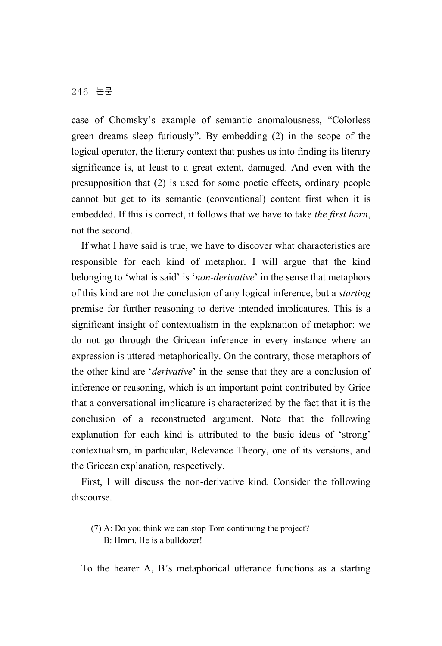case of Chomsky's example of semantic anomalousness, "Colorless green dreams sleep furiously". By embedding (2) in the scope of the logical operator, the literary context that pushes us into finding its literary significance is, at least to a great extent, damaged. And even with the presupposition that (2) is used for some poetic effects, ordinary people cannot but get to its semantic (conventional) content first when it is embedded. If this is correct, it follows that we have to take *the first horn*, not the second.

If what I have said is true, we have to discover what characteristics are responsible for each kind of metaphor. I will argue that the kind belonging to 'what is said' is '*non-derivative*' in the sense that metaphors of this kind are not the conclusion of any logical inference, but a *starting* premise for further reasoning to derive intended implicatures. This is a significant insight of contextualism in the explanation of metaphor: we do not go through the Gricean inference in every instance where an expression is uttered metaphorically. On the contrary, those metaphors of the other kind are '*derivative*' in the sense that they are a conclusion of inference or reasoning, which is an important point contributed by Grice that a conversational implicature is characterized by the fact that it is the conclusion of a reconstructed argument. Note that the following explanation for each kind is attributed to the basic ideas of 'strong' contextualism, in particular, Relevance Theory, one of its versions, and the Gricean explanation, respectively.

First, I will discuss the non-derivative kind. Consider the following discourse.

(7) A: Do you think we can stop Tom continuing the project? B: Hmm. He is a bulldozer!

To the hearer A, B's metaphorical utterance functions as a starting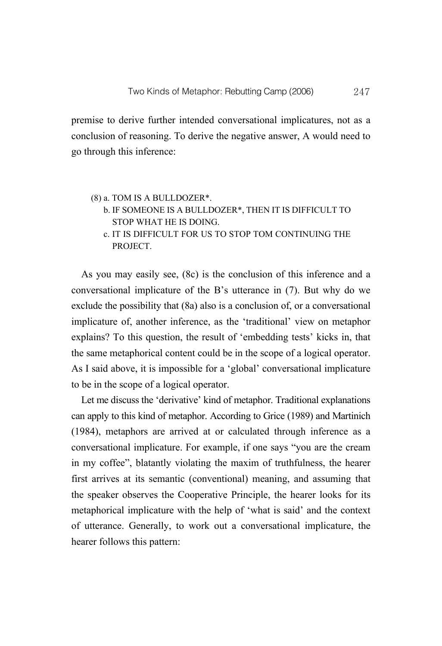premise to derive further intended conversational implicatures, not as a conclusion of reasoning. To derive the negative answer, A would need to go through this inference:

#### (8) a. TOM IS A BULLDOZER\*.

- b. IF SOMEONE IS A BULLDOZER\*, THEN IT IS DIFFICULT TO STOP WHAT HE IS DOING.
- c. IT IS DIFFICULT FOR US TO STOP TOM CONTINUING THE PROJECT.

As you may easily see, (8c) is the conclusion of this inference and a conversational implicature of the B's utterance in (7). But why do we exclude the possibility that (8a) also is a conclusion of, or a conversational implicature of, another inference, as the 'traditional' view on metaphor explains? To this question, the result of 'embedding tests' kicks in, that the same metaphorical content could be in the scope of a logical operator. As I said above, it is impossible for a 'global' conversational implicature to be in the scope of a logical operator.

Let me discuss the 'derivative' kind of metaphor. Traditional explanations can apply to this kind of metaphor. According to Grice (1989) and Martinich (1984), metaphors are arrived at or calculated through inference as a conversational implicature. For example, if one says "you are the cream in my coffee", blatantly violating the maxim of truthfulness, the hearer first arrives at its semantic (conventional) meaning, and assuming that the speaker observes the Cooperative Principle, the hearer looks for its metaphorical implicature with the help of 'what is said' and the context of utterance. Generally, to work out a conversational implicature, the hearer follows this pattern: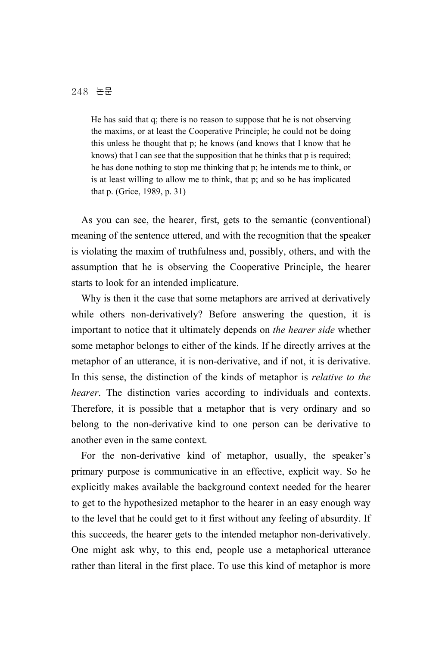He has said that q; there is no reason to suppose that he is not observing the maxims, or at least the Cooperative Principle; he could not be doing this unless he thought that p; he knows (and knows that I know that he knows) that I can see that the supposition that he thinks that p is required; he has done nothing to stop me thinking that p; he intends me to think, or is at least willing to allow me to think, that p; and so he has implicated that p. (Grice, 1989, p. 31)

As you can see, the hearer, first, gets to the semantic (conventional) meaning of the sentence uttered, and with the recognition that the speaker is violating the maxim of truthfulness and, possibly, others, and with the assumption that he is observing the Cooperative Principle, the hearer starts to look for an intended implicature.

Why is then it the case that some metaphors are arrived at derivatively while others non-derivatively? Before answering the question, it is important to notice that it ultimately depends on *the hearer side* whether some metaphor belongs to either of the kinds. If he directly arrives at the metaphor of an utterance, it is non-derivative, and if not, it is derivative. In this sense, the distinction of the kinds of metaphor is *relative to the hearer*. The distinction varies according to individuals and contexts. Therefore, it is possible that a metaphor that is very ordinary and so belong to the non-derivative kind to one person can be derivative to another even in the same context.

For the non-derivative kind of metaphor, usually, the speaker's primary purpose is communicative in an effective, explicit way. So he explicitly makes available the background context needed for the hearer to get to the hypothesized metaphor to the hearer in an easy enough way to the level that he could get to it first without any feeling of absurdity. If this succeeds, the hearer gets to the intended metaphor non-derivatively. One might ask why, to this end, people use a metaphorical utterance rather than literal in the first place. To use this kind of metaphor is more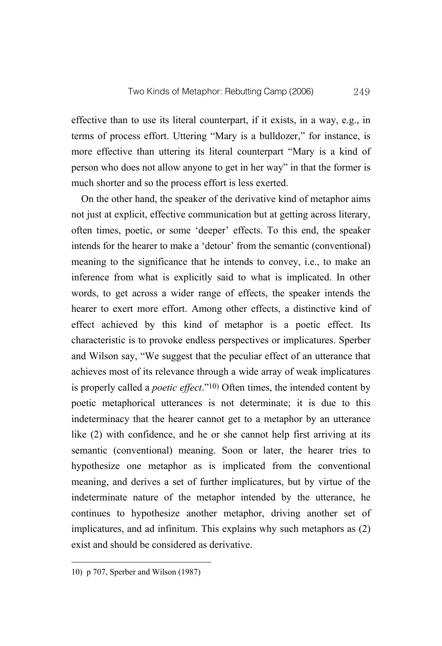effective than to use its literal counterpart, if it exists, in a way, e.g., in terms of process effort. Uttering "Mary is a bulldozer," for instance, is more effective than uttering its literal counterpart "Mary is a kind of person who does not allow anyone to get in her way" in that the former is much shorter and so the process effort is less exerted.

On the other hand, the speaker of the derivative kind of metaphor aims not just at explicit, effective communication but at getting across literary, often times, poetic, or some 'deeper' effects. To this end, the speaker intends for the hearer to make a 'detour' from the semantic (conventional) meaning to the significance that he intends to convey, i.e., to make an inference from what is explicitly said to what is implicated. In other words, to get across a wider range of effects, the speaker intends the hearer to exert more effort. Among other effects, a distinctive kind of effect achieved by this kind of metaphor is a poetic effect. Its characteristic is to provoke endless perspectives or implicatures. Sperber and Wilson say, "We suggest that the peculiar effect of an utterance that achieves most of its relevance through a wide array of weak implicatures is properly called a *poetic effect*."10) Often times, the intended content by poetic metaphorical utterances is not determinate; it is due to this indeterminacy that the hearer cannot get to a metaphor by an utterance like (2) with confidence, and he or she cannot help first arriving at its semantic (conventional) meaning. Soon or later, the hearer tries to hypothesize one metaphor as is implicated from the conventional meaning, and derives a set of further implicatures, but by virtue of the indeterminate nature of the metaphor intended by the utterance, he continues to hypothesize another metaphor, driving another set of implicatures, and ad infinitum. This explains why such metaphors as (2) exist and should be considered as derivative.

<sup>10)</sup> p 707, Sperber and Wilson (1987)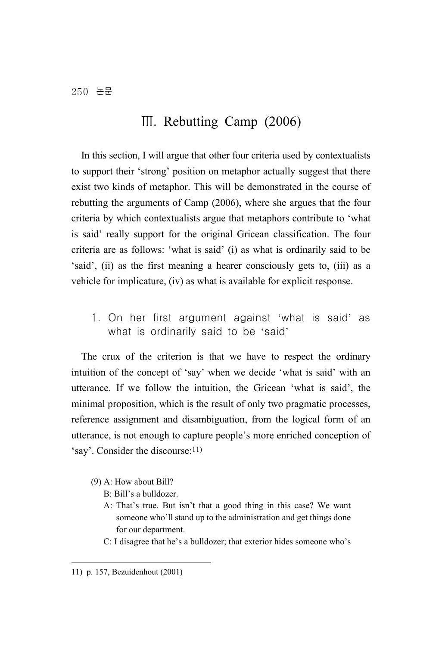## Ⅲ. Rebutting Camp (2006)

In this section, I will argue that other four criteria used by contextualists to support their 'strong' position on metaphor actually suggest that there exist two kinds of metaphor. This will be demonstrated in the course of rebutting the arguments of Camp (2006), where she argues that the four criteria by which contextualists argue that metaphors contribute to 'what is said' really support for the original Gricean classification. The four criteria are as follows: 'what is said' (i) as what is ordinarily said to be 'said', (ii) as the first meaning a hearer consciously gets to, (iii) as a vehicle for implicature, (iv) as what is available for explicit response.

1. On her first argument against 'what is said' as what is ordinarily said to be 'said'

The crux of the criterion is that we have to respect the ordinary intuition of the concept of 'say' when we decide 'what is said' with an utterance. If we follow the intuition, the Gricean 'what is said', the minimal proposition, which is the result of only two pragmatic processes, reference assignment and disambiguation, from the logical form of an utterance, is not enough to capture people's more enriched conception of 'say'. Consider the discourse:11)

- (9) A: How about Bill?
	- B: Bill's a bulldozer.
	- A: That's true. But isn't that a good thing in this case? We want someone who'll stand up to the administration and get things done for our department.
	- C: I disagree that he's a bulldozer; that exterior hides someone who's

<sup>11)</sup> p. 157, Bezuidenhout (2001)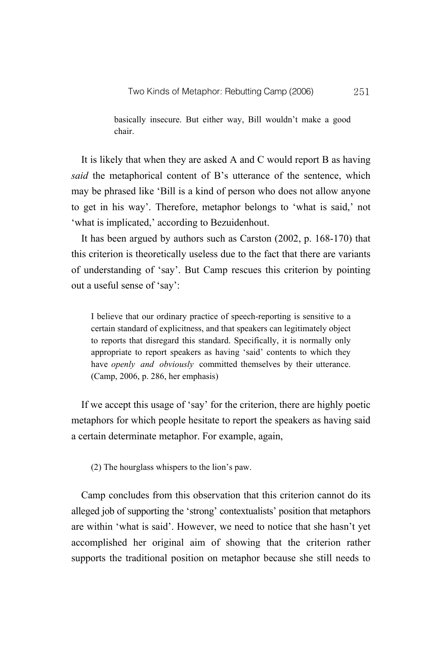basically insecure. But either way, Bill wouldn't make a good chair.

It is likely that when they are asked A and C would report B as having *said* the metaphorical content of B's utterance of the sentence, which may be phrased like 'Bill is a kind of person who does not allow anyone to get in his way'. Therefore, metaphor belongs to 'what is said,' not 'what is implicated,' according to Bezuidenhout.

It has been argued by authors such as Carston (2002, p. 168-170) that this criterion is theoretically useless due to the fact that there are variants of understanding of 'say'. But Camp rescues this criterion by pointing out a useful sense of 'say':

I believe that our ordinary practice of speech-reporting is sensitive to a certain standard of explicitness, and that speakers can legitimately object to reports that disregard this standard. Specifically, it is normally only appropriate to report speakers as having 'said' contents to which they have *openly and obviously* committed themselves by their utterance. (Camp, 2006, p. 286, her emphasis)

If we accept this usage of 'say' for the criterion, there are highly poetic metaphors for which people hesitate to report the speakers as having said a certain determinate metaphor. For example, again,

(2) The hourglass whispers to the lion's paw.

Camp concludes from this observation that this criterion cannot do its alleged job of supporting the 'strong' contextualists' position that metaphors are within 'what is said'. However, we need to notice that she hasn't yet accomplished her original aim of showing that the criterion rather supports the traditional position on metaphor because she still needs to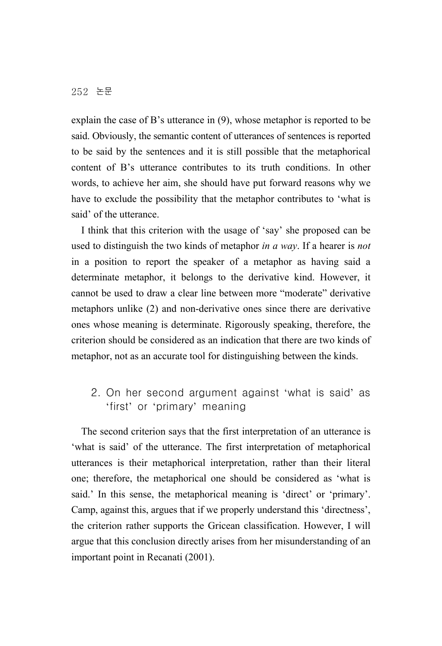explain the case of B's utterance in (9), whose metaphor is reported to be said. Obviously, the semantic content of utterances of sentences is reported to be said by the sentences and it is still possible that the metaphorical content of B's utterance contributes to its truth conditions. In other words, to achieve her aim, she should have put forward reasons why we have to exclude the possibility that the metaphor contributes to 'what is said' of the utterance.

I think that this criterion with the usage of 'say' she proposed can be used to distinguish the two kinds of metaphor *in a way*. If a hearer is *not* in a position to report the speaker of a metaphor as having said a determinate metaphor, it belongs to the derivative kind. However, it cannot be used to draw a clear line between more "moderate" derivative metaphors unlike (2) and non-derivative ones since there are derivative ones whose meaning is determinate. Rigorously speaking, therefore, the criterion should be considered as an indication that there are two kinds of metaphor, not as an accurate tool for distinguishing between the kinds.

## 2. On her second argument against 'what is said' as 'first' or 'primary' meaning

The second criterion says that the first interpretation of an utterance is 'what is said' of the utterance. The first interpretation of metaphorical utterances is their metaphorical interpretation, rather than their literal one; therefore, the metaphorical one should be considered as 'what is said.' In this sense, the metaphorical meaning is 'direct' or 'primary'. Camp, against this, argues that if we properly understand this 'directness', the criterion rather supports the Gricean classification. However, I will argue that this conclusion directly arises from her misunderstanding of an important point in Recanati (2001).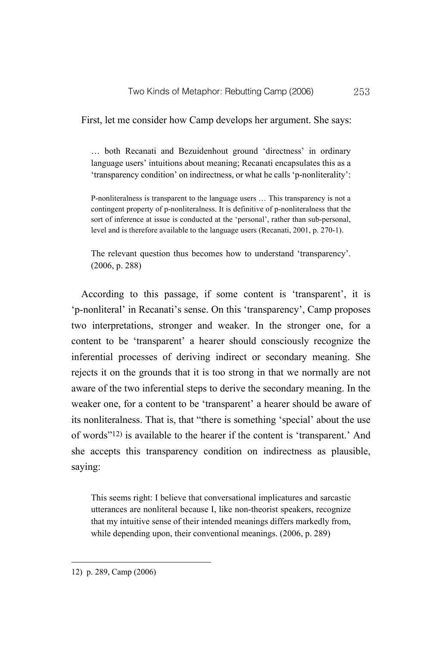First, let me consider how Camp develops her argument. She says:

… both Recanati and Bezuidenhout ground 'directness' in ordinary language users' intuitions about meaning; Recanati encapsulates this as a 'transparency condition' on indirectness, or what he calls 'p-nonliterality':

P-nonliteralness is transparent to the language users … This transparency is not a contingent property of p-nonliteralness. It is definitive of p-nonliteralness that the sort of inference at issue is conducted at the 'personal', rather than sub-personal, level and is therefore available to the language users (Recanati, 2001, p. 270-1).

The relevant question thus becomes how to understand 'transparency'. (2006, p. 288)

According to this passage, if some content is 'transparent', it is 'p-nonliteral' in Recanati's sense. On this 'transparency', Camp proposes two interpretations, stronger and weaker. In the stronger one, for a content to be 'transparent' a hearer should consciously recognize the inferential processes of deriving indirect or secondary meaning. She rejects it on the grounds that it is too strong in that we normally are not aware of the two inferential steps to derive the secondary meaning. In the weaker one, for a content to be 'transparent' a hearer should be aware of its nonliteralness. That is, that "there is something 'special' about the use of words"12) is available to the hearer if the content is 'transparent.' And she accepts this transparency condition on indirectness as plausible, saying:

This seems right: I believe that conversational implicatures and sarcastic utterances are nonliteral because I, like non-theorist speakers, recognize that my intuitive sense of their intended meanings differs markedly from, while depending upon, their conventional meanings. (2006, p. 289)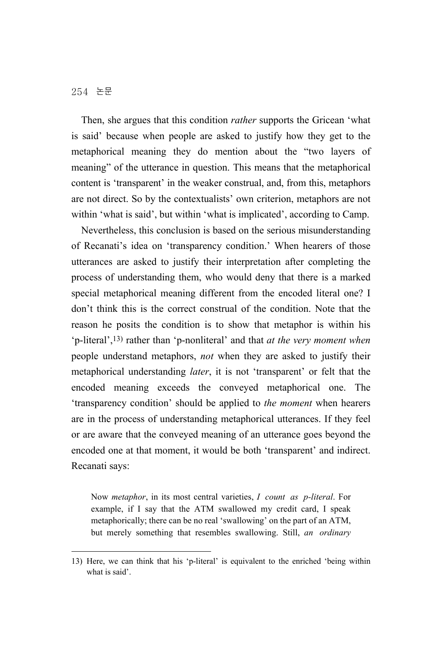Then, she argues that this condition *rather* supports the Gricean 'what is said' because when people are asked to justify how they get to the metaphorical meaning they do mention about the "two layers of meaning" of the utterance in question. This means that the metaphorical content is 'transparent' in the weaker construal, and, from this, metaphors are not direct. So by the contextualists' own criterion, metaphors are not within 'what is said', but within 'what is implicated', according to Camp.

Nevertheless, this conclusion is based on the serious misunderstanding of Recanati's idea on 'transparency condition.' When hearers of those utterances are asked to justify their interpretation after completing the process of understanding them, who would deny that there is a marked special metaphorical meaning different from the encoded literal one? I don't think this is the correct construal of the condition. Note that the reason he posits the condition is to show that metaphor is within his 'p-literal',13) rather than 'p-nonliteral' and that *at the very moment when* people understand metaphors, *not* when they are asked to justify their metaphorical understanding *later*, it is not 'transparent' or felt that the encoded meaning exceeds the conveyed metaphorical one. The 'transparency condition' should be applied to *the moment* when hearers are in the process of understanding metaphorical utterances. If they feel or are aware that the conveyed meaning of an utterance goes beyond the encoded one at that moment, it would be both 'transparent' and indirect. Recanati says:

Now *metaphor*, in its most central varieties, *I count as p-literal*. For example, if I say that the ATM swallowed my credit card, I speak metaphorically; there can be no real 'swallowing' on the part of an ATM, but merely something that resembles swallowing. Still, *an ordinary* 

<sup>13)</sup> Here, we can think that his 'p-literal' is equivalent to the enriched 'being within what is said'.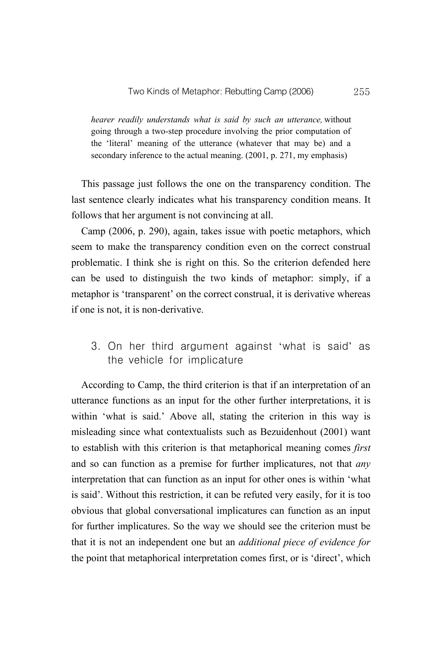*hearer readily understands what is said by such an utterance,* without going through a two-step procedure involving the prior computation of the 'literal' meaning of the utterance (whatever that may be) and a secondary inference to the actual meaning. (2001, p. 271, my emphasis)

This passage just follows the one on the transparency condition. The last sentence clearly indicates what his transparency condition means. It follows that her argument is not convincing at all.

Camp (2006, p. 290), again, takes issue with poetic metaphors, which seem to make the transparency condition even on the correct construal problematic. I think she is right on this. So the criterion defended here can be used to distinguish the two kinds of metaphor: simply, if a metaphor is 'transparent' on the correct construal, it is derivative whereas if one is not, it is non-derivative.

## 3. On her third argument against 'what is said' as the vehicle for implicature

According to Camp, the third criterion is that if an interpretation of an utterance functions as an input for the other further interpretations, it is within 'what is said.' Above all, stating the criterion in this way is misleading since what contextualists such as Bezuidenhout (2001) want to establish with this criterion is that metaphorical meaning comes *first* and so can function as a premise for further implicatures, not that *any* interpretation that can function as an input for other ones is within 'what is said'. Without this restriction, it can be refuted very easily, for it is too obvious that global conversational implicatures can function as an input for further implicatures. So the way we should see the criterion must be that it is not an independent one but an *additional piece of evidence for* the point that metaphorical interpretation comes first, or is 'direct', which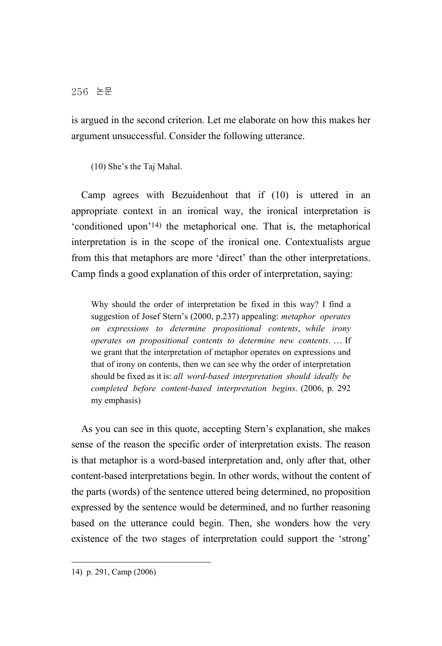is argued in the second criterion. Let me elaborate on how this makes her argument unsuccessful. Consider the following utterance.

(10) She's the Taj Mahal.

Camp agrees with Bezuidenhout that if (10) is uttered in an appropriate context in an ironical way, the ironical interpretation is 'conditioned upon'14) the metaphorical one. That is, the metaphorical interpretation is in the scope of the ironical one. Contextualists argue from this that metaphors are more 'direct' than the other interpretations. Camp finds a good explanation of this order of interpretation, saying:

Why should the order of interpretation be fixed in this way? I find a suggestion of Josef Stern's (2000, p.237) appealing: *metaphor operates on expressions to determine propositional contents*, *while irony operates on propositional contents to determine new contents*. … If we grant that the interpretation of metaphor operates on expressions and that of irony on contents, then we can see why the order of interpretation should be fixed as it is: *all word-based interpretation should ideally be completed before content-based interpretation begins*. (2006, p. 292 my emphasis)

As you can see in this quote, accepting Stern's explanation, she makes sense of the reason the specific order of interpretation exists. The reason is that metaphor is a word-based interpretation and, only after that, other content-based interpretations begin. In other words, without the content of the parts (words) of the sentence uttered being determined, no proposition expressed by the sentence would be determined, and no further reasoning based on the utterance could begin. Then, she wonders how the very existence of the two stages of interpretation could support the 'strong'

<sup>14)</sup> p. 291, Camp (2006)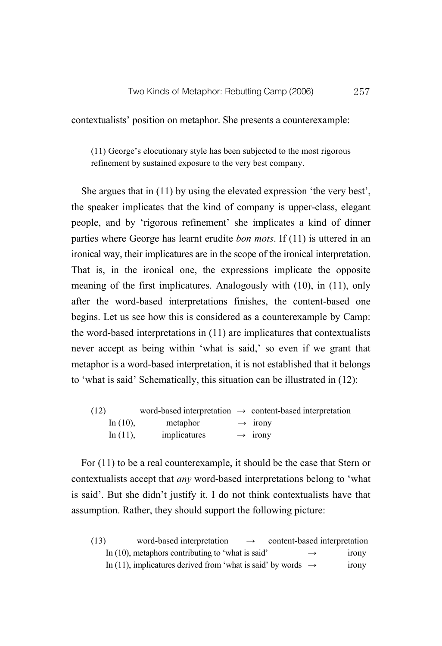contextualists' position on metaphor. She presents a counterexample:

(11) George's elocutionary style has been subjected to the most rigorous refinement by sustained exposure to the very best company.

She argues that in (11) by using the elevated expression 'the very best', the speaker implicates that the kind of company is upper-class, elegant people, and by 'rigorous refinement' she implicates a kind of dinner parties where George has learnt erudite *bon mots*. If (11) is uttered in an ironical way, their implicatures are in the scope of the ironical interpretation. That is, in the ironical one, the expressions implicate the opposite meaning of the first implicatures. Analogously with (10), in (11), only after the word-based interpretations finishes, the content-based one begins. Let us see how this is considered as a counterexample by Camp: the word-based interpretations in (11) are implicatures that contextualists never accept as being within 'what is said,' so even if we grant that metaphor is a word-based interpretation, it is not established that it belongs to 'what is said' Schematically, this situation can be illustrated in (12):

| (12) |             |              | word-based interpretation $\rightarrow$ content-based interpretation |
|------|-------------|--------------|----------------------------------------------------------------------|
|      | In $(10)$ , | metaphor     | $\rightarrow$ 1rony                                                  |
|      | In $(11)$ , | implicatures | $\rightarrow$ 1rony                                                  |

For (11) to be a real counterexample, it should be the case that Stern or contextualists accept that *any* word-based interpretations belong to 'what is said'. But she didn't justify it. I do not think contextualists have that assumption. Rather, they should support the following picture:

| (13) | word-based interpretation<br>$\rightarrow$                               | content-based interpretation |              |
|------|--------------------------------------------------------------------------|------------------------------|--------------|
|      | In $(10)$ , metaphors contributing to 'what is said'                     | $\rightarrow$                | <i>irony</i> |
|      | In (11), implicatures derived from 'what is said' by words $\rightarrow$ |                              | irony        |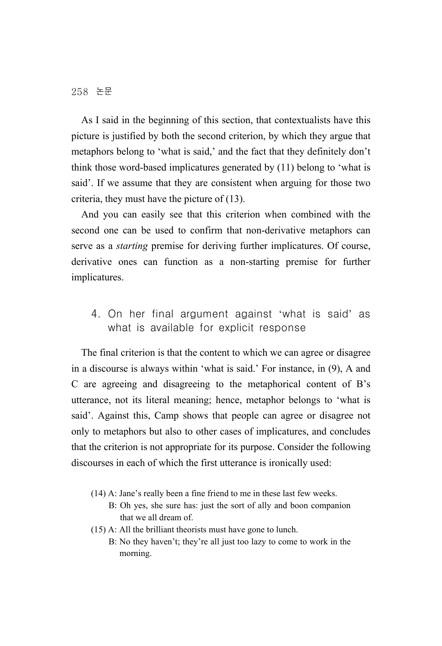As I said in the beginning of this section, that contextualists have this picture is justified by both the second criterion, by which they argue that metaphors belong to 'what is said,' and the fact that they definitely don't think those word-based implicatures generated by (11) belong to 'what is said'. If we assume that they are consistent when arguing for those two criteria, they must have the picture of (13).

And you can easily see that this criterion when combined with the second one can be used to confirm that non-derivative metaphors can serve as a *starting* premise for deriving further implicatures. Of course, derivative ones can function as a non-starting premise for further implicatures.

## 4. On her final argument against 'what is said' as what is available for explicit response

The final criterion is that the content to which we can agree or disagree in a discourse is always within 'what is said.' For instance, in (9), A and C are agreeing and disagreeing to the metaphorical content of B's utterance, not its literal meaning; hence, metaphor belongs to 'what is said'. Against this, Camp shows that people can agree or disagree not only to metaphors but also to other cases of implicatures, and concludes that the criterion is not appropriate for its purpose. Consider the following discourses in each of which the first utterance is ironically used:

- (14) A: Jane's really been a fine friend to me in these last few weeks.
	- B: Oh yes, she sure has: just the sort of ally and boon companion that we all dream of.
- (15) A: All the brilliant theorists must have gone to lunch.
	- B: No they haven't; they're all just too lazy to come to work in the morning.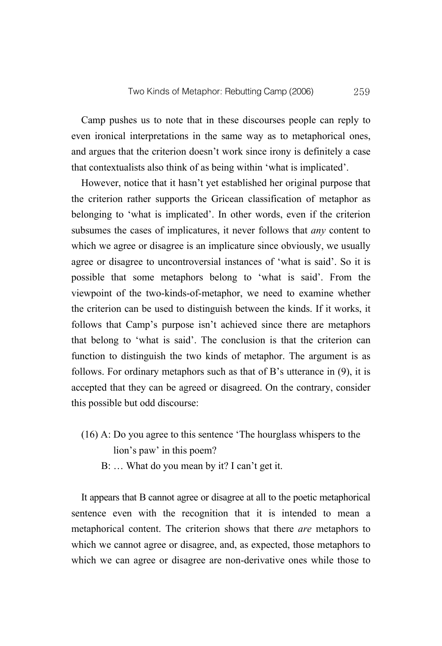Camp pushes us to note that in these discourses people can reply to even ironical interpretations in the same way as to metaphorical ones, and argues that the criterion doesn't work since irony is definitely a case that contextualists also think of as being within 'what is implicated'.

However, notice that it hasn't yet established her original purpose that the criterion rather supports the Gricean classification of metaphor as belonging to 'what is implicated'. In other words, even if the criterion subsumes the cases of implicatures, it never follows that *any* content to which we agree or disagree is an implicature since obviously, we usually agree or disagree to uncontroversial instances of 'what is said'. So it is possible that some metaphors belong to 'what is said'. From the viewpoint of the two-kinds-of-metaphor, we need to examine whether the criterion can be used to distinguish between the kinds. If it works, it follows that Camp's purpose isn't achieved since there are metaphors that belong to 'what is said'. The conclusion is that the criterion can function to distinguish the two kinds of metaphor. The argument is as follows. For ordinary metaphors such as that of B's utterance in (9), it is accepted that they can be agreed or disagreed. On the contrary, consider this possible but odd discourse:

- (16) A: Do you agree to this sentence 'The hourglass whispers to the lion's paw' in this poem?
	- B: ... What do you mean by it? I can't get it.

It appears that B cannot agree or disagree at all to the poetic metaphorical sentence even with the recognition that it is intended to mean a metaphorical content. The criterion shows that there *are* metaphors to which we cannot agree or disagree, and, as expected, those metaphors to which we can agree or disagree are non-derivative ones while those to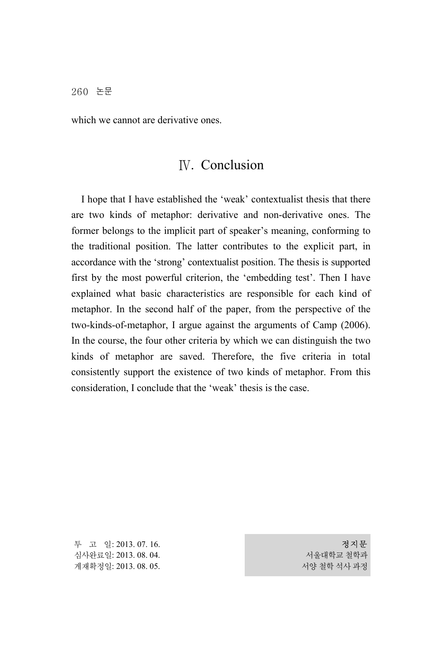which we cannot are derivative ones.

## Ⅳ. Conclusion

I hope that I have established the 'weak' contextualist thesis that there are two kinds of metaphor: derivative and non-derivative ones. The former belongs to the implicit part of speaker's meaning, conforming to the traditional position. The latter contributes to the explicit part, in accordance with the 'strong' contextualist position. The thesis is supported first by the most powerful criterion, the 'embedding test'. Then I have explained what basic characteristics are responsible for each kind of metaphor. In the second half of the paper, from the perspective of the two-kinds-of-metaphor, I argue against the arguments of Camp (2006). In the course, the four other criteria by which we can distinguish the two kinds of metaphor are saved. Therefore, the five criteria in total consistently support the existence of two kinds of metaphor. From this consideration, I conclude that the 'weak' thesis is the case.

투 고 일: 2013. 07. 16. 심사완료일: 2013. 08. 04. 게재확정일: 2013. 08. 05.

정지문 서울대학교 철학과 서양 철학 석사 과정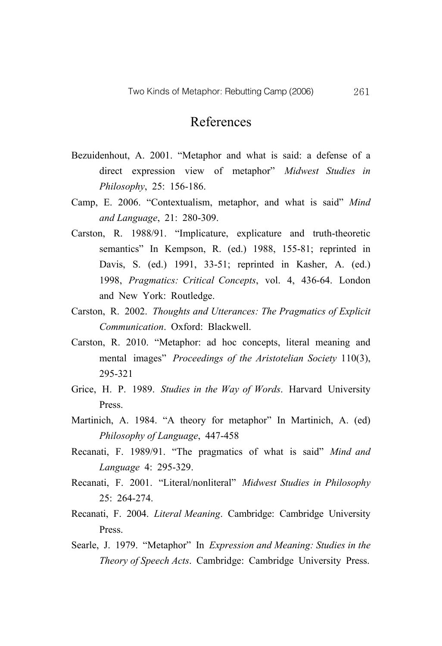## References

- Bezuidenhout, A. 2001. "Metaphor and what is said: a defense of a direct expression view of metaphor" *Midwest Studies in Philosophy*, 25: 156-186.
- Camp, E. 2006. "Contextualism, metaphor, and what is said" *Mind and Language*, 21: 280-309.
- Carston, R. 1988/91. "Implicature, explicature and truth-theoretic semantics" In Kempson, R. (ed.) 1988, 155-81; reprinted in Davis, S. (ed.) 1991, 33-51; reprinted in Kasher, A. (ed.) 1998, *Pragmatics: Critical Concepts*, vol. 4, 436-64. London and New York: Routledge.
- Carston, R. 2002. *Thoughts and Utterances: The Pragmatics of Explicit Communication*. Oxford: Blackwell.
- Carston, R. 2010. "Metaphor: ad hoc concepts, literal meaning and mental images" *Proceedings of the Aristotelian Society* 110(3), 295-321
- Grice, H. P. 1989. *Studies in the Way of Words*. Harvard University Press.
- Martinich, A. 1984. "A theory for metaphor" In Martinich, A. (ed) *Philosophy of Language*, 447-458
- Recanati, F. 1989/91. "The pragmatics of what is said" *Mind and Language* 4: 295-329.
- Recanati, F. 2001. "Literal/nonliteral" *Midwest Studies in Philosophy* 25: 264-274.
- Recanati, F. 2004. *Literal Meaning*. Cambridge: Cambridge University Press.
- Searle, J. 1979. "Metaphor" In *Expression and Meaning: Studies in the Theory of Speech Acts*. Cambridge: Cambridge University Press.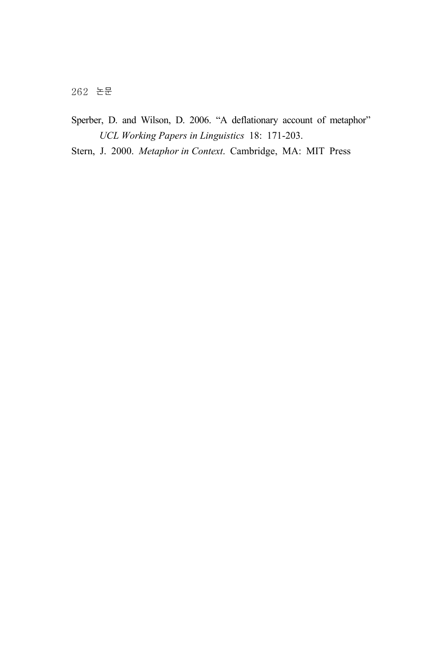- Sperber, D. and Wilson, D. 2006. "A deflationary account of metaphor" *UCL Working Papers in Linguistics* 18: 171-203.
- Stern, J. 2000. *Metaphor in Context*. Cambridge, MA: MIT Press